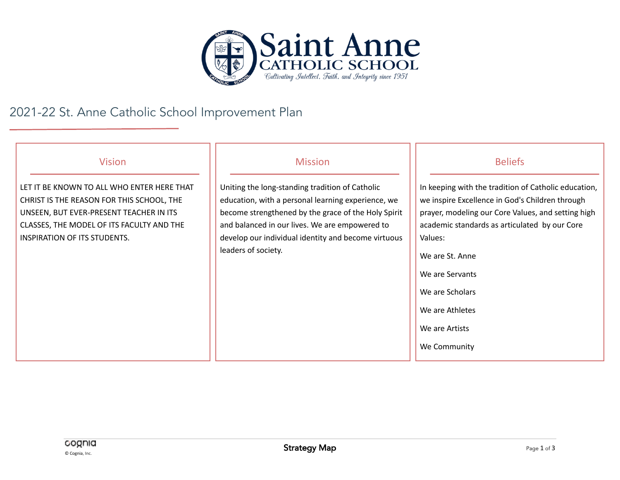

## 2021-22 St. Anne Catholic School Improvement Plan

| <b>Vision</b>                                                                                                                                                                                                   | <b>Mission</b>                                                                                                                                                                                                                                                                               | <b>Beliefs</b>                                                                                                                                                                                                                                                                                                                          |
|-----------------------------------------------------------------------------------------------------------------------------------------------------------------------------------------------------------------|----------------------------------------------------------------------------------------------------------------------------------------------------------------------------------------------------------------------------------------------------------------------------------------------|-----------------------------------------------------------------------------------------------------------------------------------------------------------------------------------------------------------------------------------------------------------------------------------------------------------------------------------------|
| LET IT BE KNOWN TO ALL WHO ENTER HERE THAT<br>CHRIST IS THE REASON FOR THIS SCHOOL, THE<br>UNSEEN, BUT EVER-PRESENT TEACHER IN ITS<br>CLASSES, THE MODEL OF ITS FACULTY AND THE<br>INSPIRATION OF ITS STUDENTS. | Uniting the long-standing tradition of Catholic<br>education, with a personal learning experience, we<br>become strengthened by the grace of the Holy Spirit<br>and balanced in our lives. We are empowered to<br>develop our individual identity and become virtuous<br>leaders of society. | In keeping with the tradition of Catholic education,<br>we inspire Excellence in God's Children through<br>prayer, modeling our Core Values, and setting high<br>academic standards as articulated by our Core<br>Values:<br>We are St. Anne<br>We are Servants<br>We are Scholars<br>We are Athletes<br>We are Artists<br>We Community |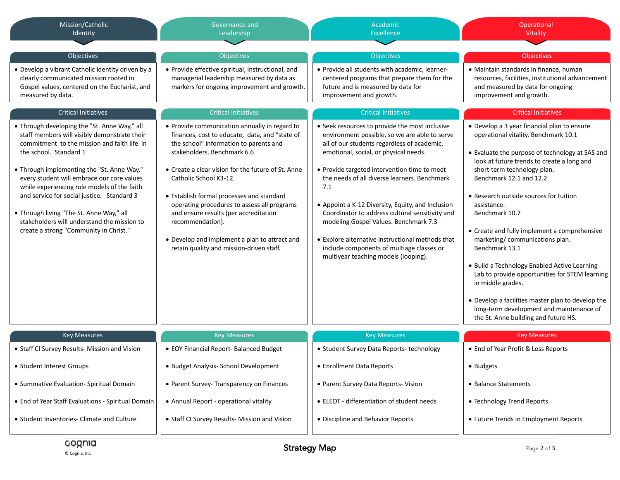| Mission/Catholic<br>Identity                                                                                                                                                                                                                                                                                                                                                                                                                                                                        | Governance and<br>Leadership                                                                                                                                                                                                                                                                                                                                                                                                                                                                                   | Academic<br><b>Excellence</b>                                                                                                                                                                                                                                                                                                                                                                                                                                                                                                                                                            | Operational<br>Vitality                                                                                                                                                                                                                                                                                                                                                                                                                                                                                                                                                                                                                                                                       |
|-----------------------------------------------------------------------------------------------------------------------------------------------------------------------------------------------------------------------------------------------------------------------------------------------------------------------------------------------------------------------------------------------------------------------------------------------------------------------------------------------------|----------------------------------------------------------------------------------------------------------------------------------------------------------------------------------------------------------------------------------------------------------------------------------------------------------------------------------------------------------------------------------------------------------------------------------------------------------------------------------------------------------------|------------------------------------------------------------------------------------------------------------------------------------------------------------------------------------------------------------------------------------------------------------------------------------------------------------------------------------------------------------------------------------------------------------------------------------------------------------------------------------------------------------------------------------------------------------------------------------------|-----------------------------------------------------------------------------------------------------------------------------------------------------------------------------------------------------------------------------------------------------------------------------------------------------------------------------------------------------------------------------------------------------------------------------------------------------------------------------------------------------------------------------------------------------------------------------------------------------------------------------------------------------------------------------------------------|
| Objectives                                                                                                                                                                                                                                                                                                                                                                                                                                                                                          | Objectives                                                                                                                                                                                                                                                                                                                                                                                                                                                                                                     | <b>Objectives</b>                                                                                                                                                                                                                                                                                                                                                                                                                                                                                                                                                                        | Objectives                                                                                                                                                                                                                                                                                                                                                                                                                                                                                                                                                                                                                                                                                    |
| • Develop a vibrant Catholic identity driven by a<br>clearly communicated mission rooted in<br>Gospel values, centered on the Eucharist, and<br>measured by data.                                                                                                                                                                                                                                                                                                                                   | • Provide effective spiritual, instructional, and<br>managerial leadership measured by data as<br>markers for ongoing improvement and growth.                                                                                                                                                                                                                                                                                                                                                                  | · Provide all students with academic, learner-<br>centered programs that prepare them for the<br>future and is measured by data for<br>improvement and growth.                                                                                                                                                                                                                                                                                                                                                                                                                           | • Maintain standards in finance, human<br>resources, facilities, institutional advancement<br>and measured by data for ongoing<br>improvement and growth.                                                                                                                                                                                                                                                                                                                                                                                                                                                                                                                                     |
| <b>Critical Initiatives</b>                                                                                                                                                                                                                                                                                                                                                                                                                                                                         | <b>Critical Initiatives</b>                                                                                                                                                                                                                                                                                                                                                                                                                                                                                    | <b>Critical Initiatives</b>                                                                                                                                                                                                                                                                                                                                                                                                                                                                                                                                                              | <b>Critical Initiatives</b>                                                                                                                                                                                                                                                                                                                                                                                                                                                                                                                                                                                                                                                                   |
| • Through developing the "St. Anne Way," all<br>staff members will visibly demonstrate their<br>commitment to the mission and faith life in<br>the school. Standard 1<br>. Through implementing the "St. Anne Way,"<br>every student will embrace our core values<br>while experiencing role models of the faith<br>and service for social justice. Standard 3<br>. Through living "The St. Anne Way," all<br>stakeholders will understand the mission to<br>create a strong "Community in Christ." | • Provide communication annually in regard to<br>finances, cost to educate, data, and "state of<br>the school" information to parents and<br>stakeholders. Benchmark 6.6<br>• Create a clear vision for the future of St. Anne<br>Catholic School K3-12.<br>• Establish formal processes and standard<br>operating procedures to assess all programs<br>and ensure results (per accreditation<br>recommendation).<br>• Develop and implement a plan to attract and<br>retain quality and mission-driven staff. | • Seek resources to provide the most inclusive<br>environment possible, so we are able to serve<br>all of our students regardless of academic,<br>emotional, social, or physical needs.<br>• Provide targeted intervention time to meet<br>the needs of all diverse learners. Benchmark<br>7.1<br>• Appoint a K-12 Diversity, Equity, and Inclusion<br>Coordinator to address cultural sensitivity and<br>modeling Gospel Values. Benchmark 7.3<br>• Explore alternative instructional methods that<br>include components of multiage classes or<br>multiyear teaching models (looping). | • Develop a 3 year financial plan to ensure<br>operational vitality. Benchmark 10.1<br>• Evaluate the purpose of technology at SAS and<br>look at future trends to create a long and<br>short-term technology plan.<br>Benchmark 12.1 and 12.2<br>• Research outside sources for tuition<br>assistance.<br>Benchmark 10.7<br>• Create and fully implement a comprehensive<br>marketing/communications plan.<br>Benchmark 13.1<br>• Build a Technology Enabled Active Learning<br>Lab to provide opportunities for STEM learning<br>in middle grades.<br>• Develop a facilities master plan to develop the<br>long-term development and maintenance of<br>the St. Anne building and future HS. |
| <b>Key Measures</b>                                                                                                                                                                                                                                                                                                                                                                                                                                                                                 | <b>Key Measures</b>                                                                                                                                                                                                                                                                                                                                                                                                                                                                                            | <b>Key Measures</b>                                                                                                                                                                                                                                                                                                                                                                                                                                                                                                                                                                      | <b>Key Measures</b>                                                                                                                                                                                                                                                                                                                                                                                                                                                                                                                                                                                                                                                                           |
| • Staff CI Survey Results- Mission and Vision                                                                                                                                                                                                                                                                                                                                                                                                                                                       | • EOY Financial Report- Balanced Budget                                                                                                                                                                                                                                                                                                                                                                                                                                                                        | • Student Survey Data Reports-technology                                                                                                                                                                                                                                                                                                                                                                                                                                                                                                                                                 | • End of Year Profit & Loss Reports                                                                                                                                                                                                                                                                                                                                                                                                                                                                                                                                                                                                                                                           |
| • Student Interest Groups                                                                                                                                                                                                                                                                                                                                                                                                                                                                           | · Budget Analysis- School Development                                                                                                                                                                                                                                                                                                                                                                                                                                                                          | • Enrollment Data Reports                                                                                                                                                                                                                                                                                                                                                                                                                                                                                                                                                                | • Budgets                                                                                                                                                                                                                                                                                                                                                                                                                                                                                                                                                                                                                                                                                     |
| • Summative Evaluation- Spiritual Domain                                                                                                                                                                                                                                                                                                                                                                                                                                                            | • Parent Survey- Transparency on Finances                                                                                                                                                                                                                                                                                                                                                                                                                                                                      | • Parent Survey Data Reports- Vision                                                                                                                                                                                                                                                                                                                                                                                                                                                                                                                                                     | • Balance Statements                                                                                                                                                                                                                                                                                                                                                                                                                                                                                                                                                                                                                                                                          |
| • End of Year Staff Evaluations - Spiritual Domain                                                                                                                                                                                                                                                                                                                                                                                                                                                  | • Annual Report - operational vitality                                                                                                                                                                                                                                                                                                                                                                                                                                                                         | • ELEOT - differentiation of student needs                                                                                                                                                                                                                                                                                                                                                                                                                                                                                                                                               | • Technology Trend Reports                                                                                                                                                                                                                                                                                                                                                                                                                                                                                                                                                                                                                                                                    |
| • Student Inventories- Climate and Culture                                                                                                                                                                                                                                                                                                                                                                                                                                                          | • Staff CI Survey Results- Mission and Vision                                                                                                                                                                                                                                                                                                                                                                                                                                                                  | • Discipline and Behavior Reports                                                                                                                                                                                                                                                                                                                                                                                                                                                                                                                                                        | • Future Trends in Employment Reports                                                                                                                                                                                                                                                                                                                                                                                                                                                                                                                                                                                                                                                         |